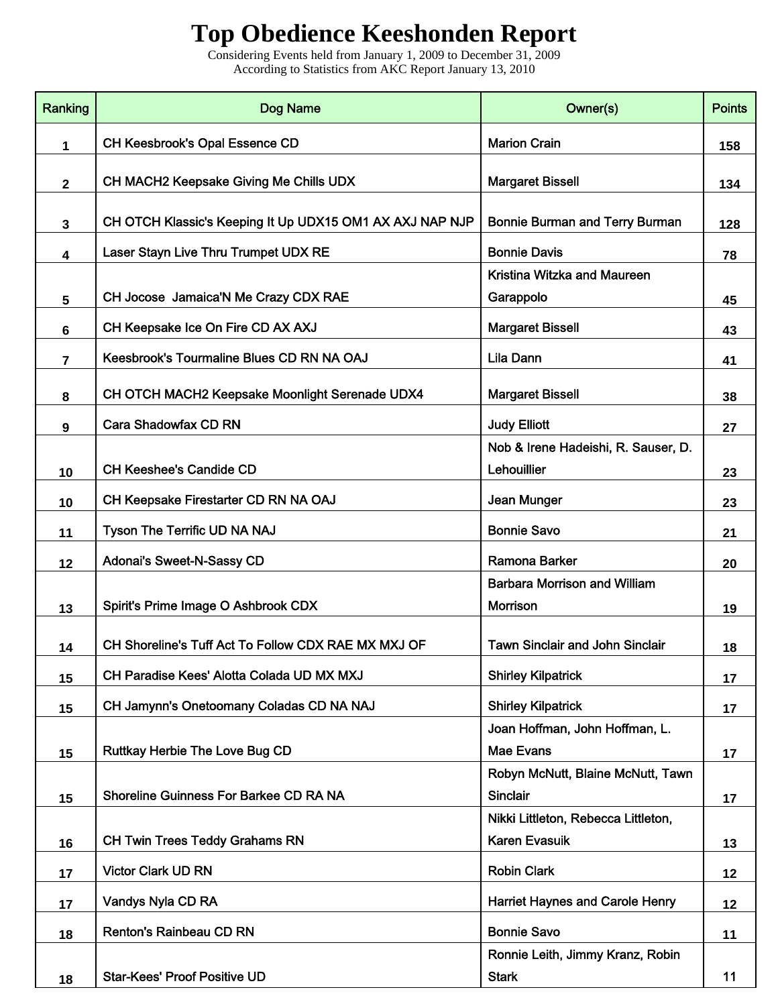## **Top Obedience Keeshonden Report**

Considering Events held from January 1, 2009 to December 31, 2009 According to Statistics from AKC Report January 13, 2010

| Ranking      | Dog Name                                                 | Owner(s)                                                    | <b>Points</b> |
|--------------|----------------------------------------------------------|-------------------------------------------------------------|---------------|
| 1            | CH Keesbrook's Opal Essence CD                           | <b>Marion Crain</b>                                         | 158           |
| $\mathbf{2}$ | CH MACH2 Keepsake Giving Me Chills UDX                   | <b>Margaret Bissell</b>                                     | 134           |
| $\mathbf{3}$ | CH OTCH Klassic's Keeping It Up UDX15 OM1 AX AXJ NAP NJP | <b>Bonnie Burman and Terry Burman</b>                       | 128           |
| 4            | Laser Stayn Live Thru Trumpet UDX RE                     | <b>Bonnie Davis</b>                                         | 78            |
| 5            | CH Jocose Jamaica'N Me Crazy CDX RAE                     | Kristina Witzka and Maureen<br>Garappolo                    | 45            |
| 6            | CH Keepsake Ice On Fire CD AX AXJ                        | <b>Margaret Bissell</b>                                     | 43            |
| 7            | Keesbrook's Tourmaline Blues CD RN NA OAJ                | Lila Dann                                                   | 41            |
| 8            | CH OTCH MACH2 Keepsake Moonlight Serenade UDX4           | <b>Margaret Bissell</b>                                     | 38            |
| 9            | Cara Shadowfax CD RN                                     | <b>Judy Elliott</b>                                         | 27            |
| 10           | <b>CH Keeshee's Candide CD</b>                           | Nob & Irene Hadeishi, R. Sauser, D.<br>Lehouillier          | 23            |
| 10           | CH Keepsake Firestarter CD RN NA OAJ                     | Jean Munger                                                 | 23            |
| 11           | Tyson The Terrific UD NA NAJ                             | <b>Bonnie Savo</b>                                          | 21            |
| 12           | Adonai's Sweet-N-Sassy CD                                | <b>Ramona Barker</b>                                        | 20            |
| 13           | Spirit's Prime Image O Ashbrook CDX                      | <b>Barbara Morrison and William</b><br>Morrison             | 19            |
| 14           | CH Shoreline's Tuff Act To Follow CDX RAE MX MXJ OF      | <b>Tawn Sinclair and John Sinclair</b>                      | 18            |
| 15           | CH Paradise Kees' Alotta Colada UD MX MXJ                | <b>Shirley Kilpatrick</b>                                   | 17            |
| 15           | CH Jamynn's Onetoomany Coladas CD NA NAJ                 | <b>Shirley Kilpatrick</b>                                   | 17            |
| 15           | <b>Ruttkay Herbie The Love Bug CD</b>                    | Joan Hoffman, John Hoffman, L.<br><b>Mae Evans</b>          | 17            |
| 15           | Shoreline Guinness For Barkee CD RA NA                   | Robyn McNutt, Blaine McNutt, Tawn<br><b>Sinclair</b>        | 17            |
| 16           | <b>CH Twin Trees Teddy Grahams RN</b>                    | Nikki Littleton, Rebecca Littleton,<br><b>Karen Evasuik</b> | 13            |
| 17           | <b>Victor Clark UD RN</b>                                | <b>Robin Clark</b>                                          | 12            |
| 17           | Vandys Nyla CD RA                                        | <b>Harriet Haynes and Carole Henry</b>                      | 12            |
| 18           | <b>Renton's Rainbeau CD RN</b>                           | <b>Bonnie Savo</b>                                          | 11            |
| 18           | <b>Star-Kees' Proof Positive UD</b>                      | Ronnie Leith, Jimmy Kranz, Robin<br><b>Stark</b>            | 11            |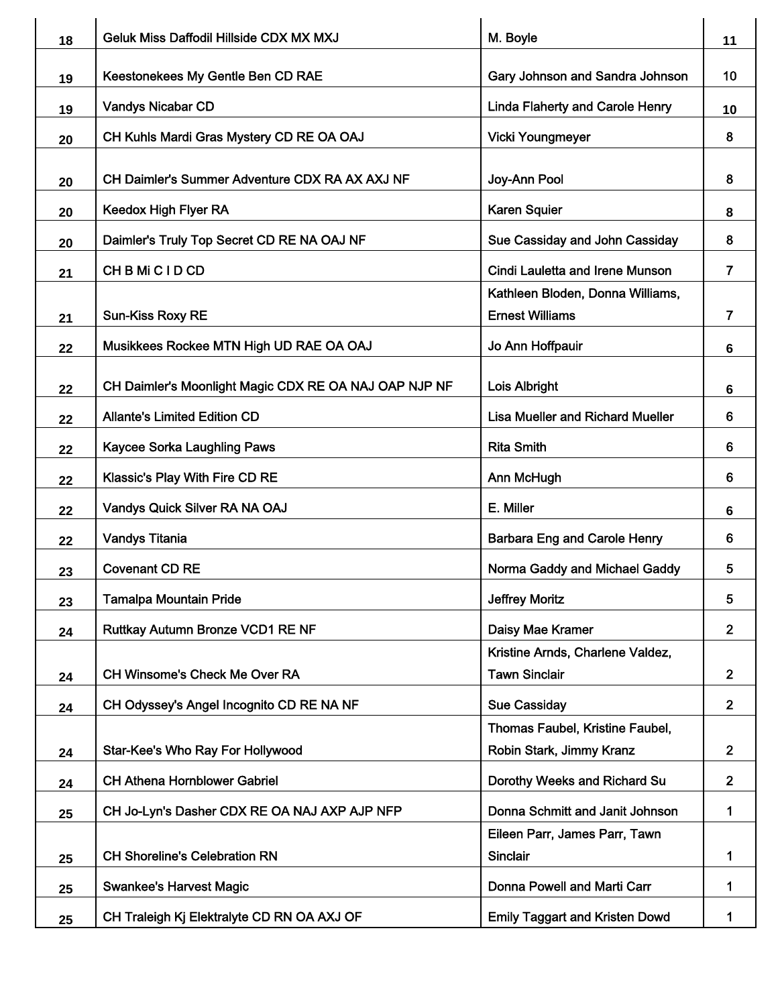| 18 | Geluk Miss Daffodil Hillside CDX MX MXJ               | M. Boyle                                                    | 11                      |
|----|-------------------------------------------------------|-------------------------------------------------------------|-------------------------|
| 19 | Keestonekees My Gentle Ben CD RAE                     | Gary Johnson and Sandra Johnson                             | 10                      |
| 19 | <b>Vandys Nicabar CD</b>                              | <b>Linda Flaherty and Carole Henry</b>                      | 10                      |
| 20 | CH Kuhls Mardi Gras Mystery CD RE OA OAJ              | <b>Vicki Youngmeyer</b>                                     | 8                       |
| 20 | CH Daimler's Summer Adventure CDX RA AX AXJ NF        | Joy-Ann Pool                                                | 8                       |
| 20 | <b>Keedox High Flyer RA</b>                           | <b>Karen Squier</b>                                         | 8                       |
| 20 | Daimler's Truly Top Secret CD RE NA OAJ NF            | Sue Cassiday and John Cassiday                              | 8                       |
| 21 | CHBMiCIDCD                                            | Cindi Lauletta and Irene Munson                             | 7                       |
| 21 | <b>Sun-Kiss Roxy RE</b>                               | Kathleen Bloden, Donna Williams,<br><b>Ernest Williams</b>  | 7                       |
| 22 | Musikkees Rockee MTN High UD RAE OA OAJ               | Jo Ann Hoffpauir                                            | 6                       |
| 22 | CH Daimler's Moonlight Magic CDX RE OA NAJ OAP NJP NF | Lois Albright                                               | 6                       |
| 22 | <b>Allante's Limited Edition CD</b>                   | <b>Lisa Mueller and Richard Mueller</b>                     | 6                       |
| 22 | <b>Kaycee Sorka Laughling Paws</b>                    | <b>Rita Smith</b>                                           | 6                       |
| 22 | <b>Klassic's Play With Fire CD RE</b>                 | Ann McHugh                                                  | 6                       |
| 22 | Vandys Quick Silver RA NA OAJ                         | E. Miller                                                   | 6                       |
| 22 | <b>Vandys Titania</b>                                 | <b>Barbara Eng and Carole Henry</b>                         | 6                       |
| 23 | <b>Covenant CD RE</b>                                 | Norma Gaddy and Michael Gaddy                               | 5                       |
| 23 | <b>Tamalpa Mountain Pride</b>                         | <b>Jeffrey Moritz</b>                                       | 5                       |
| 24 | Ruttkay Autumn Bronze VCD1 RE NF                      | Daisy Mae Kramer                                            | $\overline{2}$          |
| 24 | <b>CH Winsome's Check Me Over RA</b>                  | Kristine Arnds, Charlene Valdez,<br><b>Tawn Sinclair</b>    | $\overline{\mathbf{2}}$ |
| 24 | CH Odyssey's Angel Incognito CD RE NA NF              | <b>Sue Cassiday</b>                                         | $\overline{2}$          |
| 24 | <b>Star-Kee's Who Ray For Hollywood</b>               | Thomas Faubel, Kristine Faubel,<br>Robin Stark, Jimmy Kranz | $\mathbf{2}$            |
| 24 | <b>CH Athena Hornblower Gabriel</b>                   | Dorothy Weeks and Richard Su                                | $\mathbf{2}$            |
| 25 | CH Jo-Lyn's Dasher CDX RE OA NAJ AXP AJP NFP          | Donna Schmitt and Janit Johnson                             | 1                       |
| 25 | <b>CH Shoreline's Celebration RN</b>                  | Eileen Parr, James Parr, Tawn<br><b>Sinclair</b>            | 1                       |
| 25 | <b>Swankee's Harvest Magic</b>                        | Donna Powell and Marti Carr                                 | 1                       |
| 25 | CH Traleigh Kj Elektralyte CD RN OA AXJ OF            | <b>Emily Taggart and Kristen Dowd</b>                       | 1                       |